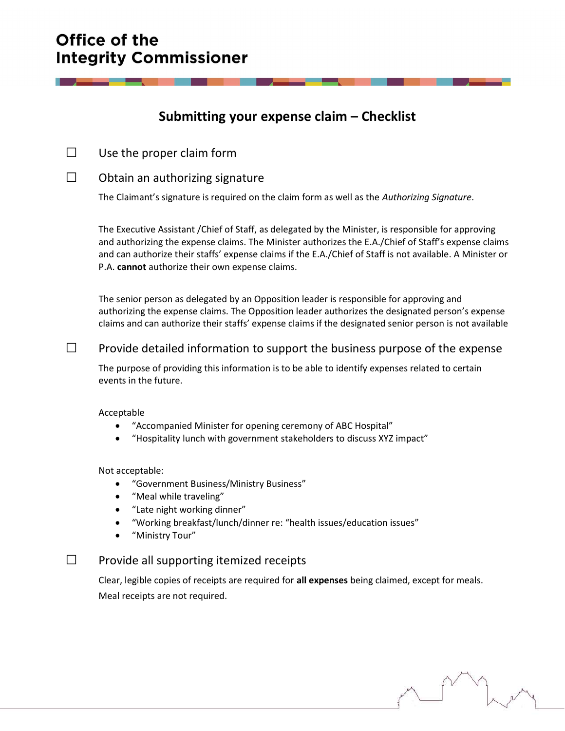# Office of the **Integrity Commissioner**

## Submitting your expense claim – Checklist

 $\Box$  Use the proper claim form

## $\square$  Obtain an authorizing signature

The Claimant's signature is required on the claim form as well as the Authorizing Signature.

The Executive Assistant /Chief of Staff, as delegated by the Minister, is responsible for approving and authorizing the expense claims. The Minister authorizes the E.A./Chief of Staff's expense claims and can authorize their staffs' expense claims if the E.A./Chief of Staff is not available. A Minister or P.A. cannot authorize their own expense claims.

 The senior person as delegated by an Opposition leader is responsible for approving and authorizing the expense claims. The Opposition leader authorizes the designated person's expense claims and can authorize their staffs' expense claims if the designated senior person is not available

## $\Box$  Provide detailed information to support the business purpose of the expense

The purpose of providing this information is to be able to identify expenses related to certain events in the future.

#### Acceptable

- "Accompanied Minister for opening ceremony of ABC Hospital"
- "Hospitality lunch with government stakeholders to discuss XYZ impact"

#### Not acceptable:

- "Government Business/Ministry Business"
- "Meal while traveling"
- "Late night working dinner"
- "Working breakfast/lunch/dinner re: "health issues/education issues"
- "Ministry Tour"

## $\square$  Provide all supporting itemized receipts

Clear, legible copies of receipts are required for all expenses being claimed, except for meals. Meal receipts are not required.